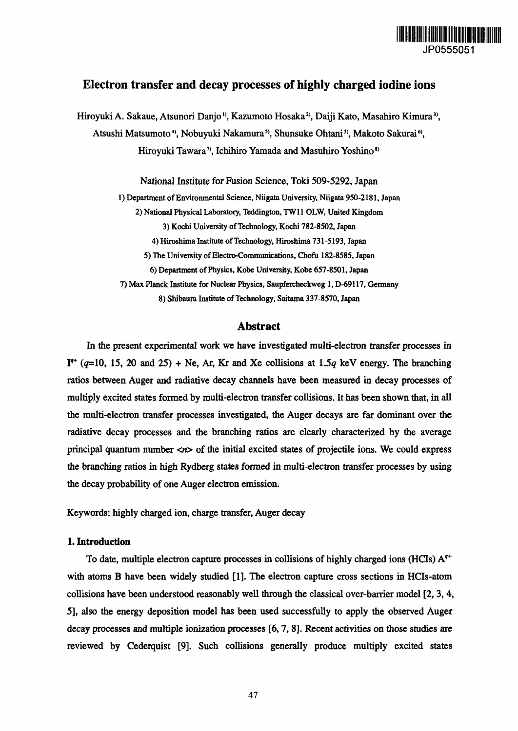

# **Electron transfer and decay processes of highly charged iodine ions**

Hiroyuki A. Sakaue, Atsunori Danjo<sup>1)</sup>, Kazumoto Hosaka<sup>2)</sup>, Daiji Kato, Masahiro Kimura<sup>3)</sup>, Atsushi Matsumoto<sup>4</sup>, Nobuyuki Nakamura<sup>5</sup>, Shunsuke Ohtani<sup>5</sup>, Makoto Sakurai<sup>6</sup>, Hiroyuki Tawara<sup>7</sup>, Ichihiro Yamada and Masuhiro Yoshino<sup>8)</sup>

National Institute for Fusion Science, Toki 509-5292, Japan

**1) Department of Environmental Science, Niigata University, Niigata 950-2181, Japan**

**2) National Physical Laboratory, Teddington, TW11 OLW, United Kingdom**

**3) Kochi University of Technology, Kochi 782-8502, Japan**

**4) Hiroshima Institute of Technology, Hiroshima 731-5193, Japan**

**5) The University of Electro-Communications, Chofu 182-8585, Japan**

**6) Department of Physics, Kobe University, Kobe 657-8501, Japan**

**7) Max Planck Institute for Nuclear Physics, Saupfercheckweg 1, D-69117, Germany**

**8) Shibaura Institute of Technology, Saitama 337-8570, Japan**

# **Abstract**

In the present experimental work we have investigated multi-electron transfer processes in I<sup>\*\*</sup> ( $q=10$ , 15, 20 and 25) + Ne, Ar, Kr and Xe collisions at 1.5 $q$  keV energy. The branching ratios between Auger and radiative decay channels have been measured in decay processes of multiply excited states formed by multi-electron transfer collisions. It has been shown that, in all the multi-electron transfer processes investigated, the Auger decays are far dominant over the radiative decay processes and the branching ratios are clearly characterized by the average principal quantum number  $\langle n \rangle$  of the initial excited states of projectile ions. We could express the branching ratios in high Rydberg states formed in multi-electron transfer processes by using the decay probability of one Auger electron emission.

Keywords: highly charged ion, charge transfer, Auger decay

## **1. Introduction**

To date, multiple electron capture processes in collisions of highly charged ions (HCIs)  $A<sup>q+</sup>$ with atoms B have been widely studied [1], The electron capture cross sections in HCIs-atom collisions have been understood reasonably well through the classical over-barrier model [2, 3, 4, 5], also the energy deposition model has been used successfully to apply the observed Auger decay processes and multiple ionization processes [6,7, 8]. Recent activities on those studies are reviewed by Cederquist [9]. Such collisions generally produce multiply excited states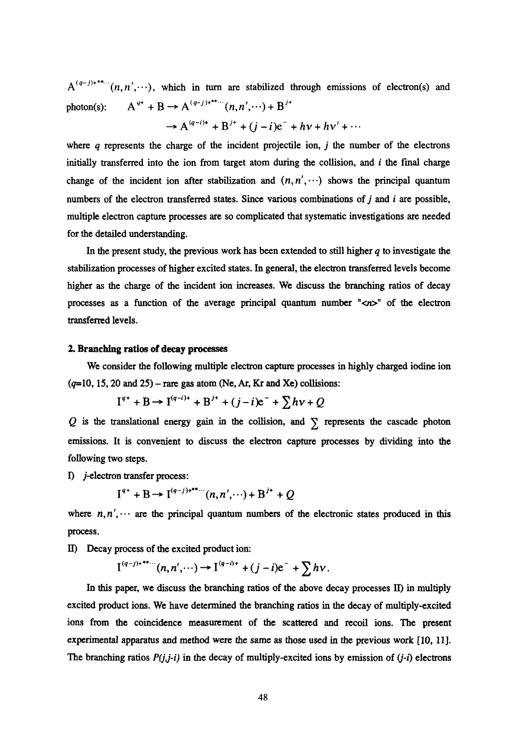$A^{(q-j)*}_{m}(n,n',\cdots)$ , which in turn are stabilized through emissions of electron(s) and photon(s):  $A^{q+} + B \rightarrow A^{(q-j)+}}^{(q-j)+} (n, n', \cdots) + B^{j+}$ 

$$
\rightarrow A^{(q-i)+} + B^{j+} + (j-i)e^- + hv + hv' + \cdots
$$

where *q* represents the charge of the incident projectile ion, *j* the number of the electrons initially transferred into the ion from target atom during the collision, and *i* the final charge change of the incident ion after stabilization and  $(n, n', \cdots)$  shows the principal quantum numbers of the electron transferred states. Since various combinations of j and *i* are possible, multiple electron capture processes are so complicated that systematic investigations are needed for the detailed understanding.

In the present study, the previous work has been extended to still higher *q* to investigate the stabilization processes of higher excited states. In general, the electron transferred levels become higher as the charge of the incident ion increases. We discuss the branching ratios of decay processes as a function of the average principal quantum number " $\langle n \rangle$ " of the electron transferred levels.

#### **2. Branching ratios of decay processes**

We consider the following multiple electron capture processes in highly charged iodine ion  $(q=10, 15, 20 \text{ and } 25)$  - rare gas atom (Ne, Ar, Kr and Xe) collisions:

$$
I^{q+} + B \to I^{(q-i)+} + B^{j+} + (j-i)e^- + \sum h v + Q
$$

 $Q$  is the translational energy gain in the collision, and  $\sum$  represents the cascade photon emissions. It is convenient to discuss the electron capture processes by dividing into the following two steps.

I) *j*-electron transfer process:

$$
I^{q+} + B \to I^{(q-j)*^{**} \cdots} (n, n', \cdots) + B^{j+} + Q
$$

where  $n, n', \cdots$  are the principal quantum numbers of the electronic states produced in this process.

II) Decay process of the excited product ion:

$$
\mathrm{I}^{(q-j)+**\cdots}(n,n',\cdots)\to\mathrm{I}^{(q-i)+}+(j-i)\mathrm{e}^-+\sum h\nu
$$

In this paper, we discuss the branching ratios of the above decay processes II) in multiply excited product ions. We have determined the branching ratios in the decay of multiply-excited ions from the coincidence measurement of the scattered and recoil ions. The present experimental apparatus and method were the same as those used in the previous work [10, 11]. The branching ratios *P(j,j-i)* in the decay of multiply-excited ions by emission of *(j-i)* electrons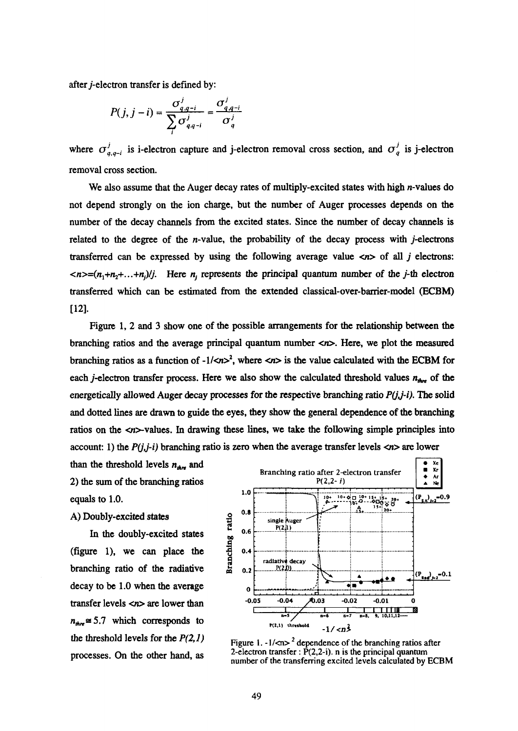after *j*-electron transfer is defined by:

$$
P(j, j - i) = \frac{\sigma_{q,q-i}^j}{\sum_{i}^j \sigma_{q,q-i}^j} = \frac{\sigma_{q,q-i}^j}{\sigma_q^j}
$$

where  $\sigma'_{q,q-i}$  is i-electron capture and j-electron removal cross section, and  $\sigma'_{q}$  is j-electron removal cross section.

We also assume that the Auger decay rates of multiply-excited states with high *n*-values do not depend strongly on the ion charge, but the number of Auger processes depends on the number of the decay channels from the excited states. Since the number of decay channels is related to the degree of the  $n$ -value, the probability of the decay process with  $j$ -electrons transferred can be expressed by using the following average value *<n>* of all *j* electrons:  $\langle n \rangle = (n_1+n_2+\ldots+n_j)/j$ . Here *n<sub>i</sub>* represents the principal quantum number of the j-th electron transferred which can be estimated from the extended classical-over-barrier-model (ECBM) [12].

Figure 1, 2 and 3 show one of the possible arrangements for the relationship between the branching ratios and the average principal quantum number  $\langle n \rangle$ . Here, we plot the measured branching ratios as a function of  $-1$ /<n><sup>2</sup>, where <n> is the value calculated with the ECBM for each *j*-electron transfer process. Here we also show the calculated threshold values  $n_{\text{str}}$  of the energetically allowed Auger decay processes for the respective branching ratio  $P(j,j-i)$ . The solid and dotted lines are drawn to guide the eyes, they show the general dependence of the branching ratios on the  $\langle n \rangle$ -values. In drawing these lines, we take the following simple principles into account: 1) the  $P(j, j-i)$  branching ratio is zero when the average transfer levels  $\langle n \rangle$  are lower

than the threshold levels  $n_{Am}$  and 2) the sum of the branching ratios equals to 1.0.

# A) Doubly-excited states

In the doubly-excited states (figure 1), we can place the branching ratio of the radiative decay to be 1.0 when the average transfer levels <n> are lower than  $n_{\text{str}} \approx 5.7$  which corresponds to the threshold levels for the *P(2,l)* processes. On the other hand, as



Figure 1.  $-1$ /<n>  $^{2}$  dependence of the branching ratios after 2-electron transfer :  $\dot{P}(2,2-i)$ . n is the principal quantum number of the transferring excited levels calculated by ECBM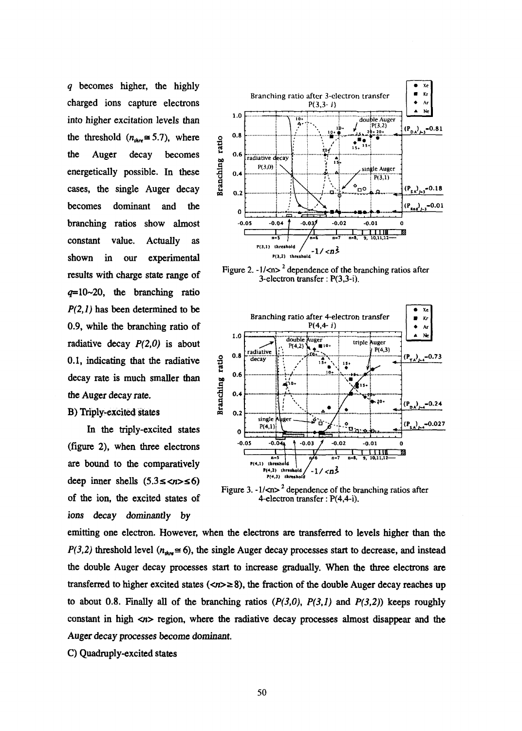*q* becomes higher, the highly charged ions capture electrons into higher excitation levels than the threshold  $(n_{\text{other}} \approx 5.7)$ , where the Auger decay becomes energetically possible. In these cases, the single Auger decay becomes dominant and the branching ratios show almost constant value. Actually as shown in our experimental results with charge state range of  $q=10-20$ , the branching ratio *P(2,l)* has been determined to be 0.9, while the branching ratio of radiative decay *P(2,0)* is about 0.1, indicating that the radiative decay rate is much smaller than the Auger decay rate.

# B) Triply-excited states

In the triply-excited states (figure 2), when three electrons are bound to the comparatively deep inner shells  $(5.3 \leq n \leq 6)$ of the ion, the excited states of ions decay dominantly by



Figure 2.  $-1$ /<n><sup>2</sup> dependence of the branching ratios after  $3$ -electron transfer:  $P(3,3-i)$ .



Figure 3.  $-1$ /<n><sup>2</sup> dependence of the branching ratios after 4-electron transfer: P(4,4-i).

emitting one electron. However, when the electrons are transferred to levels higher than the  $P(3,2)$  threshold level ( $n_{\text{obs}} \approx 6$ ), the single Auger decay processes start to decrease, and instead the double Auger decay processes start to increase gradually. When the three electrons are transferred to higher excited states ( $\langle n \rangle \ge 8$ ), the fraction of the double Auger decay reaches up to about 0.8. Finally all of the branching ratios  $(P(3,0), P(3,1))$  and  $P(3,2)$ ) keeps roughly constant in high *<n>* region, where the radiative decay processes almost disappear and the Auger decay processes become dominant.

C) Quadruply-excited states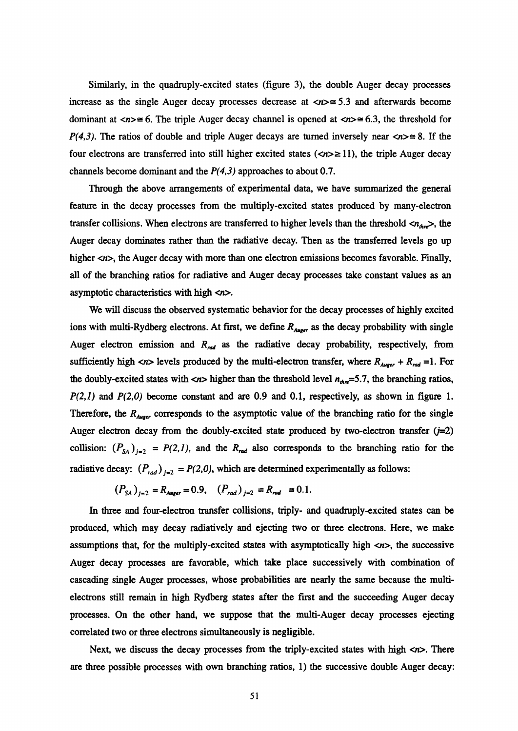Similarly, in the quadruply-excited states (figure 3), the double Auger decay processes increase as the single Auger decay processes decrease at  $\langle n \rangle \approx 5.3$  and afterwards become dominant at  $\langle n \rangle \cong 6$ . The triple Auger decay channel is opened at  $\langle n \rangle \cong 6.3$ , the threshold for *P(4,3).* The ratios of double and triple Auger decays are turned inversely near  $\langle n \rangle \approx 8$ . If the four electrons are transferred into still higher excited states  $(\langle n \rangle \ge 11)$ , the triple Auger decay channels become dominant and the *P(4,3)* approaches to about 0.7.

Through the above arrangements of experimental data, we have summarized the general feature in the decay processes from the multiply-excited states produced by many-electron transfer collisions. When electrons are transferred to higher levels than the threshold  $\langle n_{\text{th}} \rangle$ , the Auger decay dominates rather than the radiative decay. Then as the transferred levels go up higher  $\langle n \rangle$ , the Auger decay with more than one electron emissions becomes favorable. Finally, all of the branching ratios for radiative and Auger decay processes take constant values as an asymptotic characteristics with high <n>.

We will discuss the observed systematic behavior for the decay processes of highly excited ions with multi-Rydberg electrons. At first, we define  $R_{Auger}$  as the decay probability with single Auger electron emission and R<sub>rad</sub> as the radiative decay probability, respectively, from sufficiently high  $\langle n \rangle$  levels produced by the multi-electron transfer, where  $R_{Auser} + R_{rad} = 1$ . For the doubly-excited states with  $\langle n \rangle$  higher than the threshold level  $n_{\text{thr}} = 5.7$ , the branching ratios, *P(2,l)* and *P(2,0)* become constant and are 0.9 and 0.1, respectively, as shown in figure 1. Therefore, the  $R_{\text{Auser}}$  corresponds to the asymptotic value of the branching ratio for the single Auger electron decay from the doubly-excited state produced by two-electron transfer  $(j=2)$ collision:  $(P_{SA})_{j=2} = P(2,1)$ , and the  $R_{rad}$  also corresponds to the branching ratio for the radiative decay:  $(P_{rad})_{j=2} = P(2,0)$ , which are determined experimentally as follows:

$$
(P_{SA})_{j=2} = R_{Auger} = 0.9, \quad (P_{rad})_{j=2} = R_{rad} = 0.1.
$$

In three and four-electron transfer collisions, triply- and quadruply-excited states can be produced, which may decay radiatively and ejecting two or three electrons. Here, we make assumptions that, for the multiply-excited states with asymptotically high  $\langle n \rangle$ , the successive Auger decay processes are favorable, which take place successively with combination of cascading single Auger processes, whose probabilities are nearly the same because the multielectrons still remain in high Rydberg states after the first and the succeeding Auger decay processes. On the other hand, we suppose that the multi-Auger decay processes ejecting correlated two or three electrons simultaneously is negligible.

Next, we discuss the decay processes from the triply-excited states with high  $\langle n \rangle$ . There are three possible processes with own branching ratios, 1) the successive double Auger decay: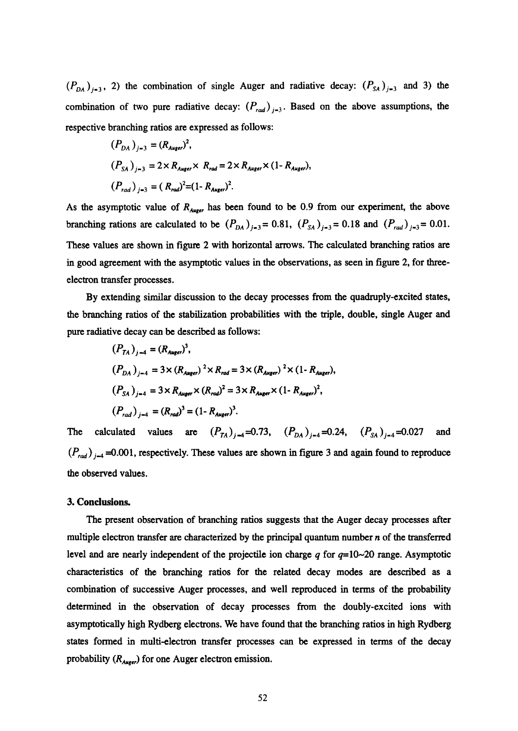$(P_{DA})_{i=3}$ , 2) the combination of single Auger and radiative decay:  $(P_{SA})_{i=3}$  and 3) the combination of two pure radiative decay:  $(P_{rad})_{i=3}$ . Based on the above assumptions, the respective branching ratios are expressed as follows:

$$
(P_{DA})_{j=3} = (R_{Auger})^2,
$$
  
\n
$$
(P_{SA})_{j=3} = 2 \times R_{Auger} \times R_{rad} = 2 \times R_{Auger} \times (1 - R_{Auger}),
$$
  
\n
$$
(P_{rad})_{j=3} = (R_{rad})^2 = (1 - R_{Auger})^2.
$$

As the asymptotic value of  $R_{Auser}$  has been found to be 0.9 from our experiment, the above branching rations are calculated to be  $(P_{DA})_{j=3} = 0.81$ ,  $(P_{SA})_{j=3} = 0.18$  and  $(P_{rad})_{j=3} = 0.01$ . These values are shown in figure 2 with horizontal arrows. The calculated branching ratios are in good agreement with the asymptotic values in the observations, as seen in figure 2, for threeelectron transfer processes.

By extending similar discussion to the decay processes from the quadruply-excited states, the branching ratios of the stabilization probabilities with the triple, double, single Auger and pure radiative decay can be described as follows:

$$
(P_{TA})_{j-4} = (R_{Auger})^3,
$$
  
\n
$$
(P_{DA})_{j-4} = 3 \times (R_{Auger})^2 \times R_{rad} = 3 \times (R_{Auger})^2 \times (1 - R_{Auger}),
$$
  
\n
$$
(P_{SA})_{j-4} = 3 \times R_{Auger} \times (R_{rad})^2 = 3 \times R_{Auger} \times (1 - R_{Auger})^2,
$$
  
\n
$$
(P_{rad})_{j-4} = (R_{rad})^3 = (1 - R_{Auger})^3.
$$

The calculated values are  $(P_{TA})_{i=4} = 0.73$ ,  $(P_{DA})_{i=4} = 0.24$ ,  $(P_{SA})_{i=4} = 0.027$  and  $(P_{rad})_{i=4}$  =0.001, respectively. These values are shown in figure 3 and again found to reproduce the observed values.

### **3. Conclusions.**

The present observation of branching ratios suggests that the Auger decay processes after multiple electron transfer are characterized by the principal quantum number *n* of the transferred level and are nearly independent of the projectile ion charge *q* for *q=* 10-20 range. Asymptotic characteristics of the branching ratios for the related decay modes are described as a combination of successive Auger processes, and well reproduced in terms of the probability determined in the observation of decay processes from the doubly-excited ions with asymptotically high Rydberg electrons. We have found that the branching ratios in high Rydberg states formed in multi-electron transfer processes can be expressed in terms of the decay probability  $(R_{Ause})$  for one Auger electron emission.